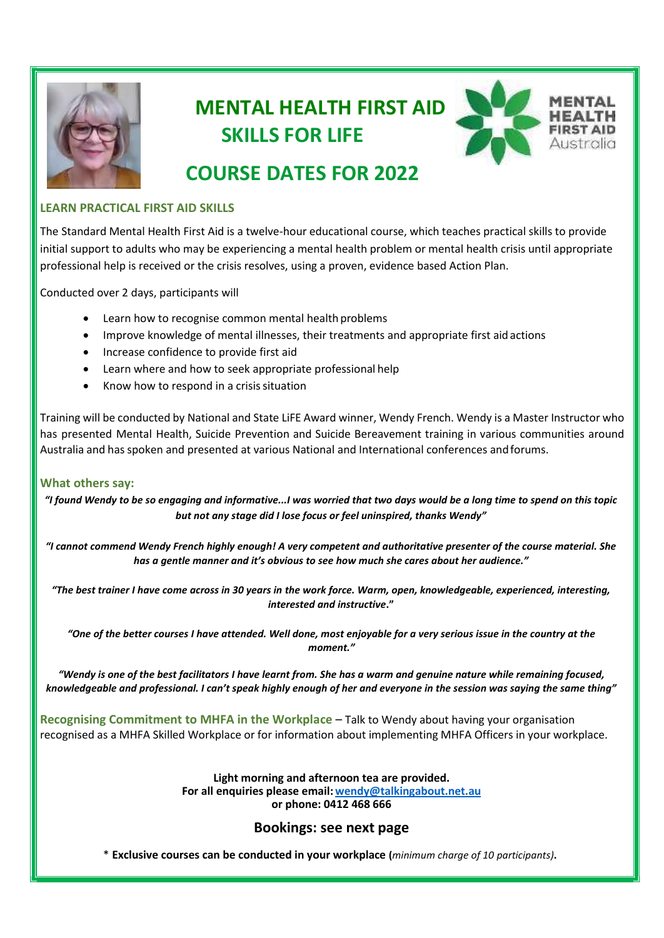

# **MENTAL HEALTH FIRST AID SKILLS FOR LIFE**



## **COURSE DATES FOR 2022**

#### **LEARN PRACTICAL FIRST AID SKILLS**

The Standard Mental Health First Aid is a twelve-hour educational course, which teaches practical skills to provide initial support to adults who may be experiencing a mental health problem or mental health crisis until appropriate professional help is received or the crisis resolves, using a proven, evidence based Action Plan.

Conducted over 2 days, participants will

- Learn how to recognise common mental health problems
- Improve knowledge of mental illnesses, their treatments and appropriate first aid actions
- Increase confidence to provide first aid
- Learn where and how to seek appropriate professional help
- Know how to respond in a crisis situation

Training will be conducted by National and State LiFE Award winner, Wendy French. Wendy is a Master Instructor who has presented Mental Health, Suicide Prevention and Suicide Bereavement training in various communities around Australia and hasspoken and presented at various National and International conferences andforums.

#### **What others say:**

*"I found Wendy to be so engaging and informative...I was worried that two days would be a long time to spend on this topic but not any stage did I lose focus or feel uninspired, thanks Wendy"*

*"I cannot commend Wendy French highly enough! A very competent and authoritative presenter of the course material. She has a gentle manner and it's obvious to see how much she cares about her audience."*

*"The best trainer I have come across in 30 years in the work force. Warm, open, knowledgeable, experienced, interesting, interested and instructive***."**

*"One of the better courses I have attended. Well done, most enjoyable for a very serious issue in the country at the moment."*

*"Wendy is one of the best facilitators I have learnt from. She has a warm and genuine nature while remaining focused, knowledgeable and professional. I can't speak highly enough of her and everyone in the session was saying the same thing"*

**Recognising Commitment to MHFA in the Workplace** – Talk to Wendy about having your organisation recognised as a MHFA Skilled Workplace or for information about implementing MHFA Officers in your workplace.

> **Light morning and afternoon tea are provided. For all enquiries please email[:wendy@talkingabout.net.au](mailto:wendy@talkingabout.net.au) or phone: 0412 468 666**

### **Bookings: [see next](http://www.talkingabout.net.au/) page**

\* **Exclusive courses can be conducted in your workplace (***minimum charge of 10 participants)***.**